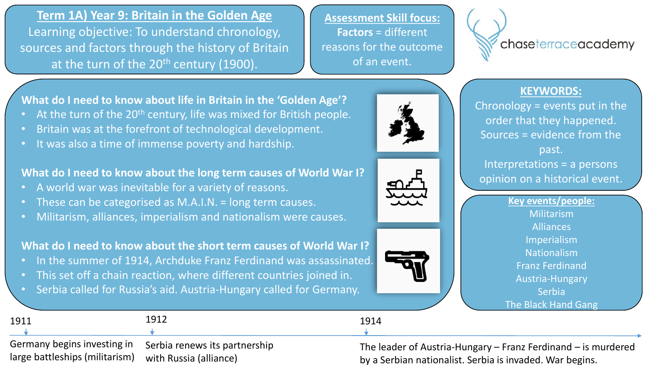**Term 1A) Year 9: Britain in the Golden Age** Learning objective: To understand chronology, sources and factors through the history of Britain at the turn of the  $20<sup>th</sup>$  century (1900).

**Assessment Skill focus: Factors** = different reasons for the outcome of an event.



### **KEYWORDS:**

Chronology = events put in the order that they happened. Sources = evidence from the past. Interpretations = a persons opinion on a historical event.

> **Key events/people:** Militarism Alliances Imperialism Nationalism Franz Ferdinand Austria-Hungary Serbia The Black Hand Gang

**What do I need to know about life in Britain in the 'Golden Age'?** • At the turn of the 20<sup>th</sup> century, life was mixed for British people.

- Britain was at the forefront of technological development.
- It was also a time of immense poverty and hardship.

## **What do I need to know about the long term causes of World War I?**

- A world war was inevitable for a variety of reasons.
- These can be categorised as M.A.I.N. = long term causes.
- Militarism, alliances, imperialism and nationalism were causes.

# **What do I need to know about the short term causes of World War I?**

- In the summer of 1914, Archduke Franz Ferdinand was assassinated.
- This set off a chain reaction, where different countries joined in.
- Serbia called for Russia's aid. Austria-Hungary called for Germany.

| 1911                                                   | 1912                                                      | 1914                                                                                                                      |
|--------------------------------------------------------|-----------------------------------------------------------|---------------------------------------------------------------------------------------------------------------------------|
|                                                        |                                                           |                                                                                                                           |
| large battleships (militarism) vwith Russia (alliance) | Germany begins investing in Serbia renews its partnership | The leader of Austria-Hungary – Franz Ferdinand – is murdered<br>by a Serbian nationalist. Serbia is invaded. War begins. |